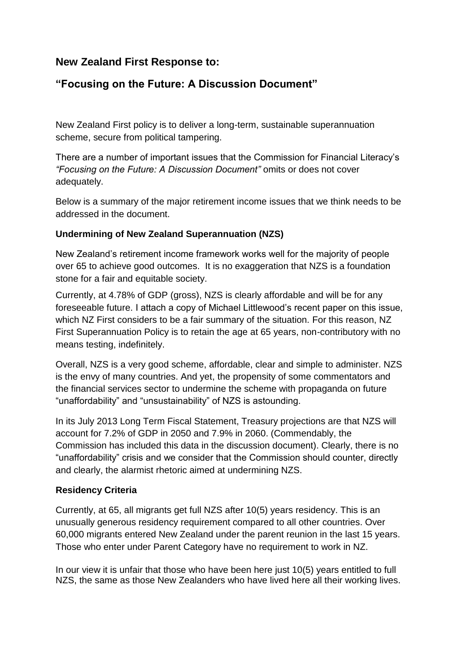# **New Zealand First Response to:**

# **"Focusing on the Future: A Discussion Document"**

New Zealand First policy is to deliver a long-term, sustainable superannuation scheme, secure from political tampering.

There are a number of important issues that the Commission for Financial Literacy's *"Focusing on the Future: A Discussion Document"* omits or does not cover adequately.

Below is a summary of the major retirement income issues that we think needs to be addressed in the document.

### **Undermining of New Zealand Superannuation (NZS)**

New Zealand's retirement income framework works well for the majority of people over 65 to achieve good outcomes. It is no exaggeration that NZS is a foundation stone for a fair and equitable society.

Currently, at 4.78% of GDP (gross), NZS is clearly affordable and will be for any foreseeable future. I attach a copy of Michael Littlewood's recent paper on this issue, which NZ First considers to be a fair summary of the situation. For this reason, NZ First Superannuation Policy is to retain the age at 65 years, non-contributory with no means testing, indefinitely.

Overall, NZS is a very good scheme, affordable, clear and simple to administer. NZS is the envy of many countries. And yet, the propensity of some commentators and the financial services sector to undermine the scheme with propaganda on future "unaffordability" and "unsustainability" of NZS is astounding.

In its July 2013 Long Term Fiscal Statement, Treasury projections are that NZS will account for 7.2% of GDP in 2050 and 7.9% in 2060. (Commendably, the Commission has included this data in the discussion document). Clearly, there is no "unaffordability" crisis and we consider that the Commission should counter, directly and clearly, the alarmist rhetoric aimed at undermining NZS.

#### **Residency Criteria**

Currently, at 65, all migrants get full NZS after 10(5) years residency. This is an unusually generous residency requirement compared to all other countries. Over 60,000 migrants entered New Zealand under the parent reunion in the last 15 years. Those who enter under Parent Category have no requirement to work in NZ.

In our view it is unfair that those who have been here just 10(5) years entitled to full NZS, the same as those New Zealanders who have lived here all their working lives.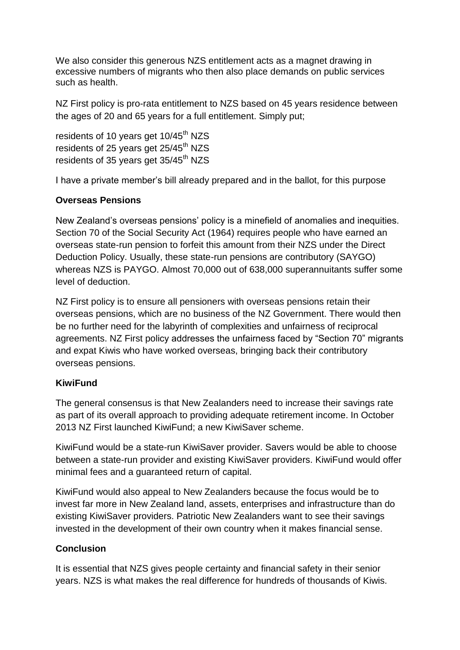We also consider this generous NZS entitlement acts as a magnet drawing in excessive numbers of migrants who then also place demands on public services such as health.

NZ First policy is pro-rata entitlement to NZS based on 45 years residence between the ages of 20 and 65 years for a full entitlement. Simply put;

residents of 10 years get 10/45<sup>th</sup> NZS residents of 25 years get 25/45<sup>th</sup> NZS residents of 35 years get 35/45<sup>th</sup> NZS

I have a private member's bill already prepared and in the ballot, for this purpose

### **Overseas Pensions**

New Zealand's overseas pensions' policy is a minefield of anomalies and inequities. Section 70 of the Social Security Act (1964) requires people who have earned an overseas state-run pension to forfeit this amount from their NZS under the Direct Deduction Policy. Usually, these state-run pensions are contributory (SAYGO) whereas NZS is PAYGO. Almost 70,000 out of 638,000 superannuitants suffer some level of deduction.

NZ First policy is to ensure all pensioners with overseas pensions retain their overseas pensions, which are no business of the NZ Government. There would then be no further need for the labyrinth of complexities and unfairness of reciprocal agreements. NZ First policy addresses the unfairness faced by "Section 70" migrants and expat Kiwis who have worked overseas, bringing back their contributory overseas pensions.

## **KiwiFund**

The general consensus is that New Zealanders need to increase their savings rate as part of its overall approach to providing adequate retirement income. In October 2013 NZ First launched KiwiFund; a new KiwiSaver scheme.

KiwiFund would be a state-run KiwiSaver provider. Savers would be able to choose between a state-run provider and existing KiwiSaver providers. KiwiFund would offer minimal fees and a guaranteed return of capital.

KiwiFund would also appeal to New Zealanders because the focus would be to invest far more in New Zealand land, assets, enterprises and infrastructure than do existing KiwiSaver providers. Patriotic New Zealanders want to see their savings invested in the development of their own country when it makes financial sense.

## **Conclusion**

It is essential that NZS gives people certainty and financial safety in their senior years. NZS is what makes the real difference for hundreds of thousands of Kiwis.